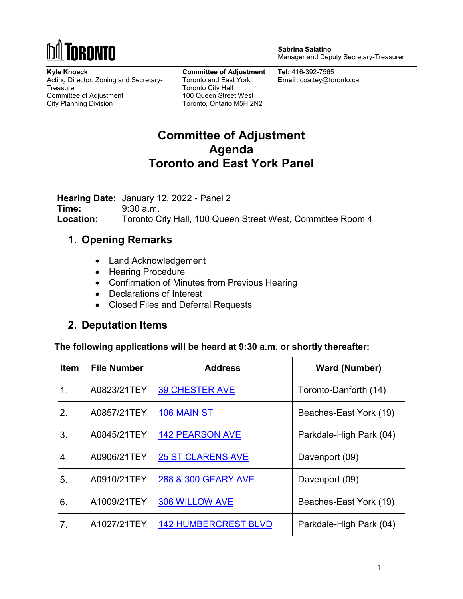

**Sabrina Salatino** Manager and Deputy Secretary-Treasurer

**Kyle Knoeck** Acting Director, Zoning and Secretary-**Treasurer** Committee of Adjustment City Planning Division

**Committee of Adjustment** Toronto and East York Toronto City Hall 100 Queen Street West Toronto, Ontario M5H 2N2

**Tel:** 416-392-7565 **Email:** coa.tey@toronto.ca

# **Committee of Adjustment Agenda Toronto and East York Panel**

**Hearing Date:** January 12, 2022 - Panel 2 **Time:** 9:30 a.m. **Location:** Toronto City Hall, 100 Queen Street West, Committee Room 4

### **1. Opening Remarks**

- Land Acknowledgement
- Hearing Procedure
- Confirmation of Minutes from Previous Hearing
- Declarations of Interest
- Closed Files and Deferral Requests

### **2. Deputation Items**

**The following applications will be heard at 9:30 a.m. or shortly thereafter:** 

| <b>Item</b> | <b>File Number</b> | <b>Address</b>              | <b>Ward (Number)</b>    |
|-------------|--------------------|-----------------------------|-------------------------|
| 1.          | A0823/21TEY        | <b>39 CHESTER AVE</b>       | Toronto-Danforth (14)   |
| 2.          | A0857/21TEY        | 106 MAIN ST                 | Beaches-East York (19)  |
| 3.          | A0845/21TEY        | <b>142 PEARSON AVE</b>      | Parkdale-High Park (04) |
| 4.          | A0906/21TEY        | <b>25 ST CLARENS AVE</b>    | Davenport (09)          |
| 5.          | A0910/21TEY        | 288 & 300 GEARY AVE         | Davenport (09)          |
| 6.          | A1009/21TEY        | 306 WILLOW AVE              | Beaches-East York (19)  |
| 7.          | A1027/21TEY        | <b>142 HUMBERCREST BLVD</b> | Parkdale-High Park (04) |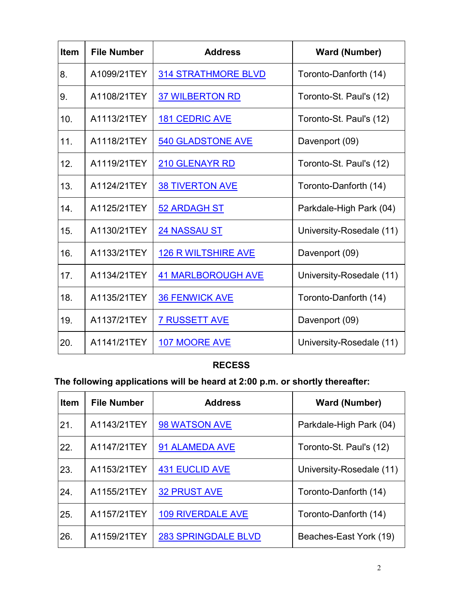| <b>Item</b> | <b>File Number</b> | <b>Address</b>             | <b>Ward (Number)</b>     |
|-------------|--------------------|----------------------------|--------------------------|
| 8.          | A1099/21TEY        | <b>314 STRATHMORE BLVD</b> | Toronto-Danforth (14)    |
| 9.          | A1108/21TEY        | <b>37 WILBERTON RD</b>     | Toronto-St. Paul's (12)  |
| 10.         | A1113/21TEY        | <b>181 CEDRIC AVE</b>      | Toronto-St. Paul's (12)  |
| 11.         | A1118/21TEY        | <b>540 GLADSTONE AVE</b>   | Davenport (09)           |
| 12.         | A1119/21TEY        | <b>210 GLENAYR RD</b>      | Toronto-St. Paul's (12)  |
| 13.         | A1124/21TEY        | <b>38 TIVERTON AVE</b>     | Toronto-Danforth (14)    |
| 14.         | A1125/21TEY        | <b>52 ARDAGH ST</b>        | Parkdale-High Park (04)  |
| 15.         | A1130/21TEY        | <b>24 NASSAU ST</b>        | University-Rosedale (11) |
| 16.         | A1133/21TEY        | <b>126 R WILTSHIRE AVE</b> | Davenport (09)           |
| 17.         | A1134/21TEY        | <b>41 MARLBOROUGH AVE</b>  | University-Rosedale (11) |
| 18.         | A1135/21TEY        | <b>36 FENWICK AVE</b>      | Toronto-Danforth (14)    |
| 19.         | A1137/21TEY        | <b>7 RUSSETT AVE</b>       | Davenport (09)           |
| 20.         | A1141/21TEY        | 107 MOORE AVE              | University-Rosedale (11) |

## **RECESS**

# **The following applications will be heard at 2:00 p.m. or shortly thereafter:**

| <b>Item</b> | <b>File Number</b> | <b>Address</b>             | <b>Ward (Number)</b>     |
|-------------|--------------------|----------------------------|--------------------------|
| 21.         | A1143/21TEY        | 98 WATSON AVE              | Parkdale-High Park (04)  |
| 22.         | A1147/21TEY        | 91 ALAMEDA AVE             | Toronto-St. Paul's (12)  |
| 23.         | A1153/21TEY        | <b>431 EUCLID AVE</b>      | University-Rosedale (11) |
| 24.         | A1155/21TEY        | <b>32 PRUST AVE</b>        | Toronto-Danforth (14)    |
| 25.         | A1157/21TEY        | <b>109 RIVERDALE AVE</b>   | Toronto-Danforth (14)    |
| 26.         | A1159/21TEY        | <b>283 SPRINGDALE BLVD</b> | Beaches-East York (19)   |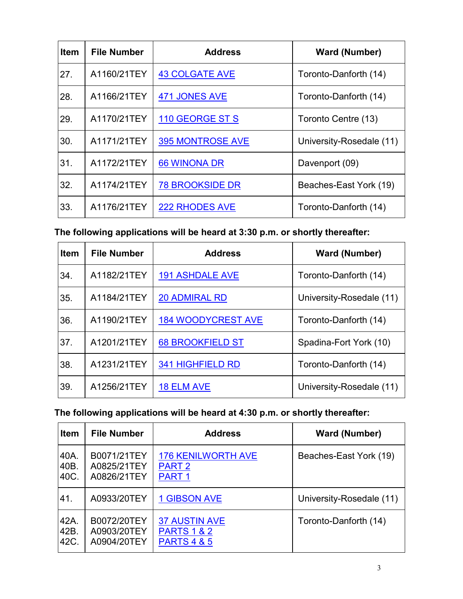| <b>Item</b> | <b>File Number</b> | <b>Address</b>          | <b>Ward (Number)</b>     |
|-------------|--------------------|-------------------------|--------------------------|
| 27.         | A1160/21TEY        | <b>43 COLGATE AVE</b>   | Toronto-Danforth (14)    |
| 28.         | A1166/21TEY        | <b>471 JONES AVE</b>    | Toronto-Danforth (14)    |
| 29.         | A1170/21TEY        | 110 GEORGE ST S         | Toronto Centre (13)      |
| 30.         | A1171/21TEY        | <b>395 MONTROSE AVE</b> | University-Rosedale (11) |
| 31.         | A1172/21TEY        | <b>66 WINONA DR</b>     | Davenport (09)           |
| 32.         | A1174/21TEY        | <b>78 BROOKSIDE DR</b>  | Beaches-East York (19)   |
| 33.         | A1176/21TEY        | <b>222 RHODES AVE</b>   | Toronto-Danforth (14)    |

**The following applications will be heard at 3:30 p.m. or shortly thereafter:** 

| <b>Item</b> | <b>File Number</b> | <b>Address</b>            | <b>Ward (Number)</b>     |
|-------------|--------------------|---------------------------|--------------------------|
| 34.         | A1182/21TEY        | <b>191 ASHDALE AVE</b>    | Toronto-Danforth (14)    |
| 35.         | A1184/21TEY        | <b>20 ADMIRAL RD</b>      | University-Rosedale (11) |
| 36.         | A1190/21TEY        | <b>184 WOODYCREST AVE</b> | Toronto-Danforth (14)    |
| 37.         | A1201/21TEY        | <b>68 BROOKFIELD ST</b>   | Spadina-Fort York (10)   |
| 38.         | A1231/21TEY        | <b>341 HIGHFIELD RD</b>   | Toronto-Danforth (14)    |
| 39.         | A1256/21TEY        | <b>18 ELM AVE</b>         | University-Rosedale (11) |

### **The following applications will be heard at 4:30 p.m. or shortly thereafter:**

| <b>Item</b> | <b>File Number</b> | <b>Address</b>            | <b>Ward (Number)</b>     |
|-------------|--------------------|---------------------------|--------------------------|
| 40A.        | B0071/21TEY        | <b>176 KENILWORTH AVE</b> | Beaches-East York (19)   |
| 40B.        | A0825/21TEY        | PART <sub>2</sub>         |                          |
| 40C.        | A0826/21TEY        | PART <sub>1</sub>         |                          |
| 41.         | A0933/20TEY        | <b>1 GIBSON AVE</b>       | University-Rosedale (11) |
| 42A.        | B0072/20TEY        | <b>37 AUSTIN AVE</b>      | Toronto-Danforth (14)    |
| 42B.        | A0903/20TEY        | <b>PARTS 1 &amp; 2</b>    |                          |
| 42C.        | A0904/20TEY        | <b>PARTS 4 &amp; 5</b>    |                          |